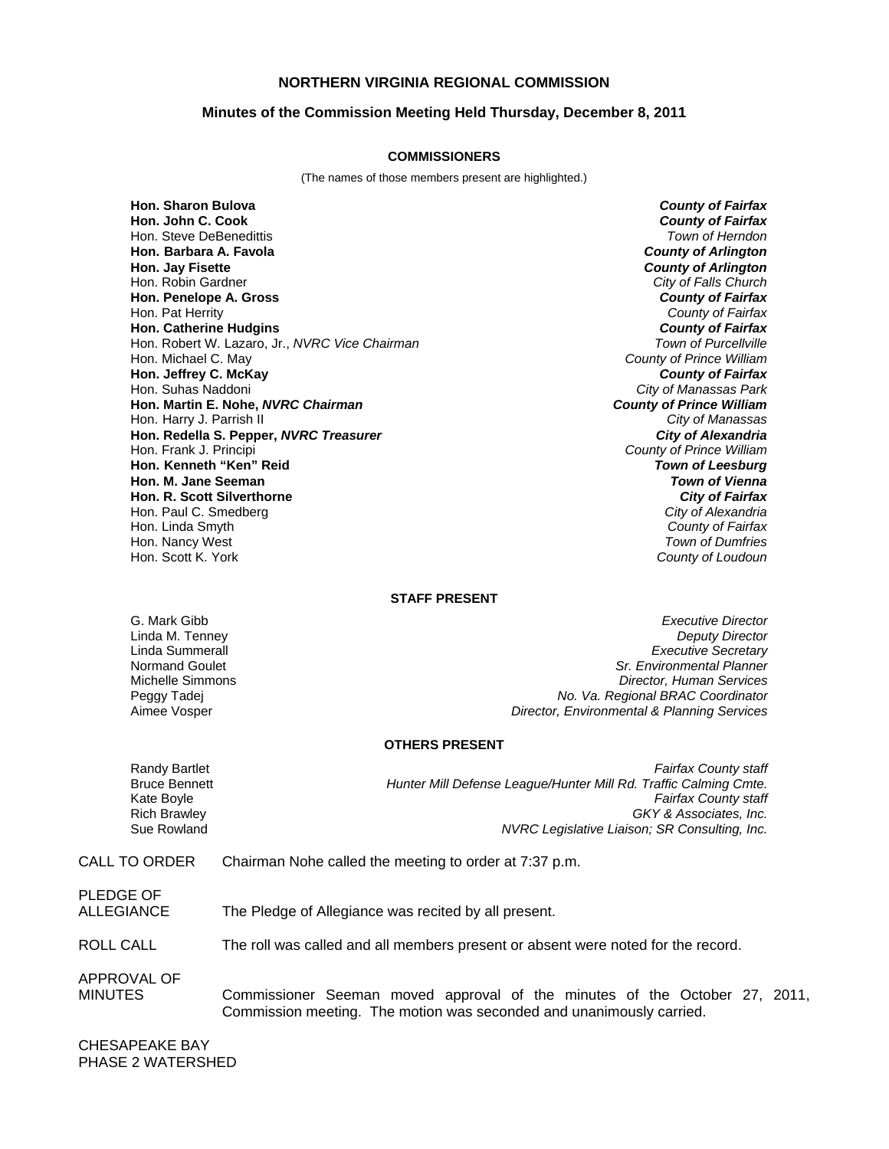### **NORTHERN VIRGINIA REGIONAL COMMISSION**

#### **Minutes of the Commission Meeting Held Thursday, December 8, 2011**

#### **COMMISSIONERS**

(The names of those members present are highlighted.)

**Hon. Sharon Bulova** *County of Fairfax* **Hon. John C. Cook** *County of Fairfax* Hon. Steve DeBenedittis *Town of Herndon* **Hon. Barbara A. Favola** *County of Arlington* **Hon. Jay Fisette** *County of Arlington* Hon. Robin Gardner *City of Falls Church* **Hon. Penelope A. Gross** *County of Fairfax* Hon. Pat Herrity *County of Fairfax* **Hon. Catherine Hudgins** *County of Fairfax* Hon. Robert W. Lazaro, Jr., *NVRC Vice Chairman* Hon. Michael C. May *County of Prince William* **Hon. Jeffrey C. McKay** Hon. Suhas Naddoni *City of Manassas Park* **Hon. Martin E. Nohe,** *NVRC Chairman County of Prince William* Hon. Harry J. Parrish II *City of Manassas* **Hon. Redella S. Pepper,** *NVRC Treasurer City of Alexandria* Hon. Frank J. Principi *County of Prince William* **Hon. Kenneth "Ken" Reid** *Town of Leesburg* **Hon. M. Jane Seeman Hon. R. Scott Silverthorne** *City of Fairfax* Hon. Paul C. Smedberg *City of Alexandria* Hon. Linda Smyth *County of Fairfax* Hon. Nancy West

Hon. Scott K. York *County of Loudoun*

#### **STAFF PRESENT**

G. Mark Gibb *Executive Director* Linda M. Tenney *Deputy Director* Linda Summerall *Executive Secretary* Normand Goulet *Sr. Environmental Planner* Michelle Simmons *Director, Human Services* Peggy Tadej *No. Va. Regional BRAC Coordinator* Aimee Vosper *Director, Environmental & Planning Services*

#### **OTHERS PRESENT**

Randy Bartlet *Fairfax County staff* Bruce Bennett *Hunter Mill Defense League/Hunter Mill Rd. Traffic Calming Cmte.* Kate Boyle *Fairfax County staff* Rich Brawley *GKY & Associates, Inc.* **NVRC Legislative Liaison; SR Consulting, Inc.** 

### CALL TO ORDER Chairman Nohe called the meeting to order at 7:37 p.m.

PLEDGE OF

ALLEGIANCE The Pledge of Allegiance was recited by all present.

ROLL CALL The roll was called and all members present or absent were noted for the record.

APPROVAL OF

MINUTES Commissioner Seeman moved approval of the minutes of the October 27, 2011, Commission meeting. The motion was seconded and unanimously carried.

CHESAPEAKE BAY PHASE 2 WATERSHED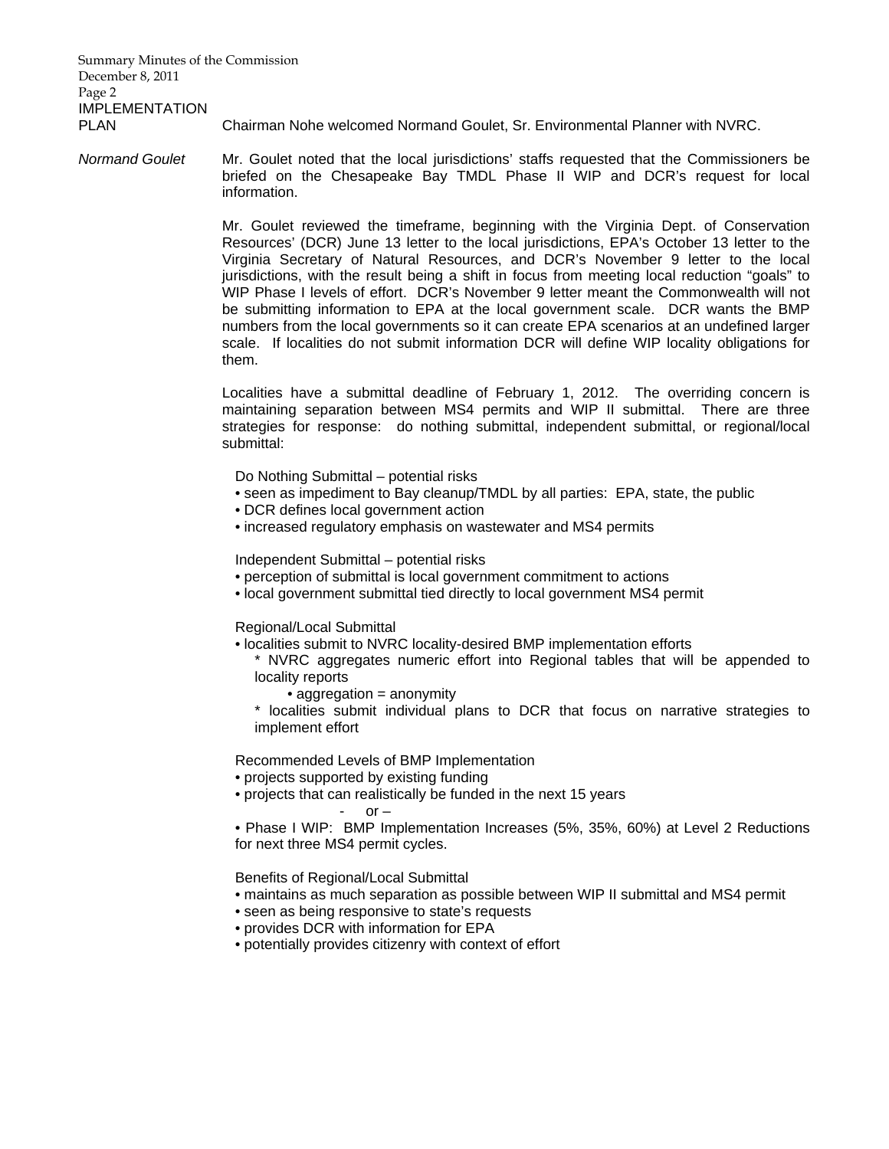Summary Minutes of the Commission December 8, 2011 Page 2 IMPLEMENTATION

PLAN Chairman Nohe welcomed Normand Goulet, Sr. Environmental Planner with NVRC.

*Normand Goulet* Mr. Goulet noted that the local jurisdictions' staffs requested that the Commissioners be briefed on the Chesapeake Bay TMDL Phase II WIP and DCR's request for local information.

> Mr. Goulet reviewed the timeframe, beginning with the Virginia Dept. of Conservation Resources' (DCR) June 13 letter to the local jurisdictions, EPA's October 13 letter to the Virginia Secretary of Natural Resources, and DCR's November 9 letter to the local jurisdictions, with the result being a shift in focus from meeting local reduction "goals" to WIP Phase I levels of effort. DCR's November 9 letter meant the Commonwealth will not be submitting information to EPA at the local government scale. DCR wants the BMP numbers from the local governments so it can create EPA scenarios at an undefined larger scale. If localities do not submit information DCR will define WIP locality obligations for them.

> Localities have a submittal deadline of February 1, 2012. The overriding concern is maintaining separation between MS4 permits and WIP II submittal. There are three strategies for response: do nothing submittal, independent submittal, or regional/local submittal:

Do Nothing Submittal – potential risks

- seen as impediment to Bay cleanup/TMDL by all parties: EPA, state, the public
- DCR defines local government action
- increased regulatory emphasis on wastewater and MS4 permits

Independent Submittal – potential risks

- perception of submittal is local government commitment to actions
- local government submittal tied directly to local government MS4 permit

Regional/Local Submittal

- localities submit to NVRC locality-desired BMP implementation efforts
	- \* NVRC aggregates numeric effort into Regional tables that will be appended to locality reports
		- aggregation = anonymity
	- \* localities submit individual plans to DCR that focus on narrative strategies to implement effort

Recommended Levels of BMP Implementation

- projects supported by existing funding
- projects that can realistically be funded in the next 15 years

$$
- \quad \text{or} \, -
$$

• Phase I WIP: BMP Implementation Increases (5%, 35%, 60%) at Level 2 Reductions for next three MS4 permit cycles.

Benefits of Regional/Local Submittal

- maintains as much separation as possible between WIP II submittal and MS4 permit
- seen as being responsive to state's requests
- provides DCR with information for EPA
- potentially provides citizenry with context of effort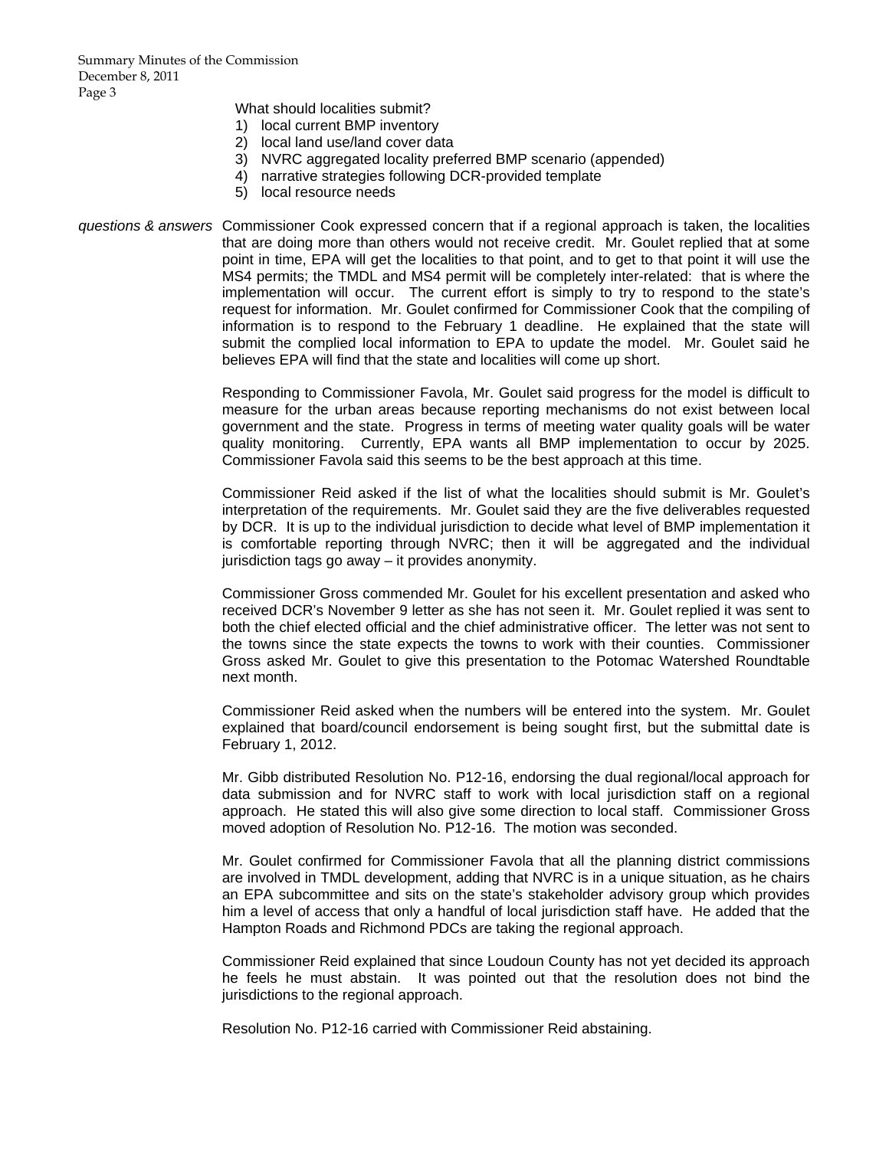What should localities submit?

- 1) local current BMP inventory
- 2) local land use/land cover data
- 3) NVRC aggregated locality preferred BMP scenario (appended)
- 4) narrative strategies following DCR-provided template
- 5) local resource needs
- *questions & answers* Commissioner Cook expressed concern that if a regional approach is taken, the localities that are doing more than others would not receive credit. Mr. Goulet replied that at some point in time, EPA will get the localities to that point, and to get to that point it will use the MS4 permits; the TMDL and MS4 permit will be completely inter-related: that is where the implementation will occur. The current effort is simply to try to respond to the state's request for information. Mr. Goulet confirmed for Commissioner Cook that the compiling of information is to respond to the February 1 deadline. He explained that the state will submit the complied local information to EPA to update the model. Mr. Goulet said he believes EPA will find that the state and localities will come up short.

 Responding to Commissioner Favola, Mr. Goulet said progress for the model is difficult to measure for the urban areas because reporting mechanisms do not exist between local government and the state. Progress in terms of meeting water quality goals will be water quality monitoring. Currently, EPA wants all BMP implementation to occur by 2025. Commissioner Favola said this seems to be the best approach at this time.

 Commissioner Reid asked if the list of what the localities should submit is Mr. Goulet's interpretation of the requirements. Mr. Goulet said they are the five deliverables requested by DCR. It is up to the individual jurisdiction to decide what level of BMP implementation it is comfortable reporting through NVRC; then it will be aggregated and the individual jurisdiction tags go away – it provides anonymity.

 Commissioner Gross commended Mr. Goulet for his excellent presentation and asked who received DCR's November 9 letter as she has not seen it. Mr. Goulet replied it was sent to both the chief elected official and the chief administrative officer. The letter was not sent to the towns since the state expects the towns to work with their counties. Commissioner Gross asked Mr. Goulet to give this presentation to the Potomac Watershed Roundtable next month.

 Commissioner Reid asked when the numbers will be entered into the system. Mr. Goulet explained that board/council endorsement is being sought first, but the submittal date is February 1, 2012.

 Mr. Gibb distributed Resolution No. P12-16, endorsing the dual regional/local approach for data submission and for NVRC staff to work with local jurisdiction staff on a regional approach. He stated this will also give some direction to local staff. Commissioner Gross moved adoption of Resolution No. P12-16. The motion was seconded.

 Mr. Goulet confirmed for Commissioner Favola that all the planning district commissions are involved in TMDL development, adding that NVRC is in a unique situation, as he chairs an EPA subcommittee and sits on the state's stakeholder advisory group which provides him a level of access that only a handful of local jurisdiction staff have. He added that the Hampton Roads and Richmond PDCs are taking the regional approach.

 Commissioner Reid explained that since Loudoun County has not yet decided its approach he feels he must abstain. It was pointed out that the resolution does not bind the jurisdictions to the regional approach.

Resolution No. P12-16 carried with Commissioner Reid abstaining.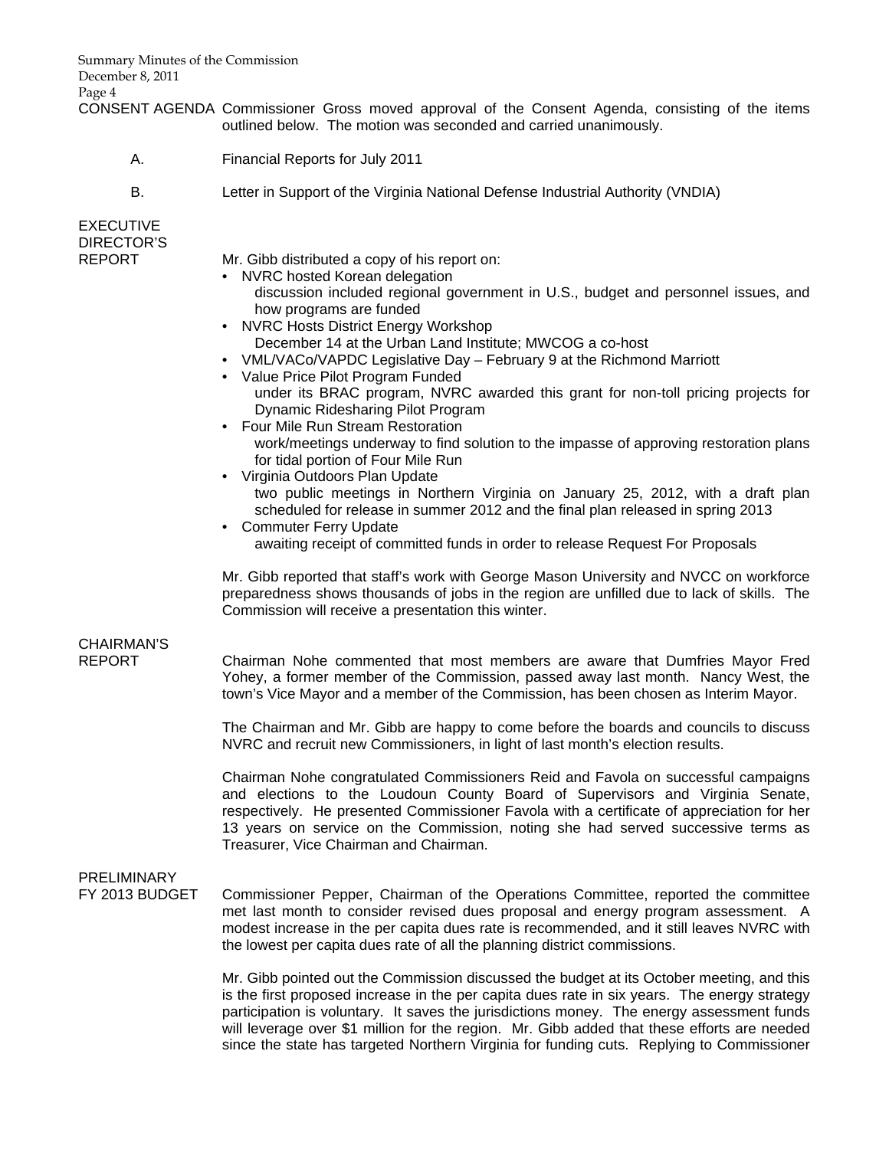Summary Minutes of the Commission December 8, 2011 Page 4

CONSENT AGENDA Commissioner Gross moved approval of the Consent Agenda, consisting of the items outlined below. The motion was seconded and carried unanimously.

- A. Financial Reports for July 2011
- B. Letter in Support of the Virginia National Defense Industrial Authority (VNDIA)

EXECUTIVE DIRECTOR'S

- REPORT Mr. Gibb distributed a copy of his report on:
	- NVRC hosted Korean delegation
		- discussion included regional government in U.S., budget and personnel issues, and how programs are funded
	- NVRC Hosts District Energy Workshop December 14 at the Urban Land Institute; MWCOG a co-host
	- VML/VACo/VAPDC Legislative Day February 9 at the Richmond Marriott
	- Value Price Pilot Program Funded under its BRAC program, NVRC awarded this grant for non-toll pricing projects for Dynamic Ridesharing Pilot Program
	- Four Mile Run Stream Restoration work/meetings underway to find solution to the impasse of approving restoration plans for tidal portion of Four Mile Run
	- Virginia Outdoors Plan Update
		- two public meetings in Northern Virginia on January 25, 2012, with a draft plan scheduled for release in summer 2012 and the final plan released in spring 2013
		- Commuter Ferry Update awaiting receipt of committed funds in order to release Request For Proposals

Mr. Gibb reported that staff's work with George Mason University and NVCC on workforce preparedness shows thousands of jobs in the region are unfilled due to lack of skills. The Commission will receive a presentation this winter.

### CHAIRMAN'S

REPORT Chairman Nohe commented that most members are aware that Dumfries Mayor Fred Yohey, a former member of the Commission, passed away last month. Nancy West, the town's Vice Mayor and a member of the Commission, has been chosen as Interim Mayor.

> The Chairman and Mr. Gibb are happy to come before the boards and councils to discuss NVRC and recruit new Commissioners, in light of last month's election results.

> Chairman Nohe congratulated Commissioners Reid and Favola on successful campaigns and elections to the Loudoun County Board of Supervisors and Virginia Senate, respectively. He presented Commissioner Favola with a certificate of appreciation for her 13 years on service on the Commission, noting she had served successive terms as Treasurer, Vice Chairman and Chairman.

# PRELIMINARY

FY 2013 BUDGET Commissioner Pepper, Chairman of the Operations Committee, reported the committee met last month to consider revised dues proposal and energy program assessment. A modest increase in the per capita dues rate is recommended, and it still leaves NVRC with the lowest per capita dues rate of all the planning district commissions.

> Mr. Gibb pointed out the Commission discussed the budget at its October meeting, and this is the first proposed increase in the per capita dues rate in six years. The energy strategy participation is voluntary. It saves the jurisdictions money. The energy assessment funds will leverage over \$1 million for the region. Mr. Gibb added that these efforts are needed since the state has targeted Northern Virginia for funding cuts. Replying to Commissioner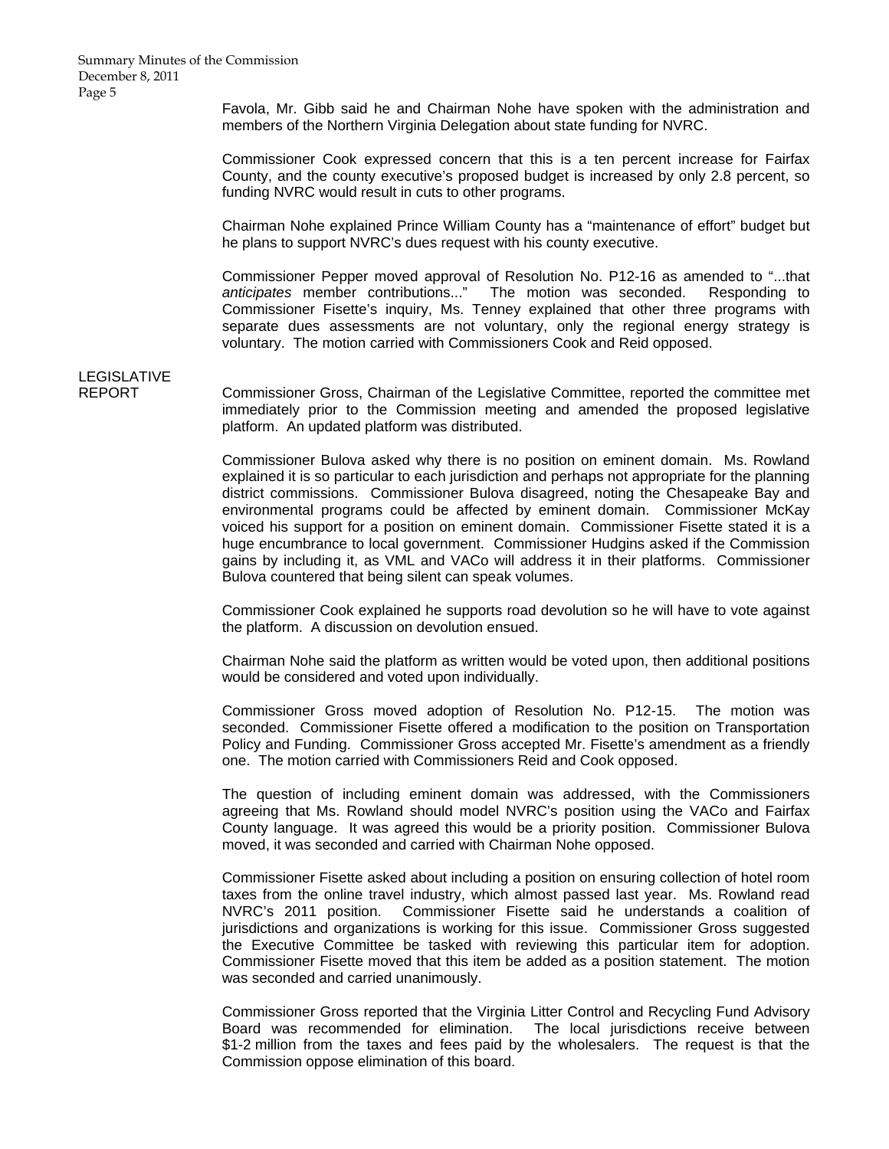Favola, Mr. Gibb said he and Chairman Nohe have spoken with the administration and members of the Northern Virginia Delegation about state funding for NVRC.

 Commissioner Cook expressed concern that this is a ten percent increase for Fairfax County, and the county executive's proposed budget is increased by only 2.8 percent, so funding NVRC would result in cuts to other programs.

 Chairman Nohe explained Prince William County has a "maintenance of effort" budget but he plans to support NVRC's dues request with his county executive.

 Commissioner Pepper moved approval of Resolution No. P12-16 as amended to "...that *anticipates* member contributions..." The motion was seconded. Responding to Commissioner Fisette's inquiry, Ms. Tenney explained that other three programs with separate dues assessments are not voluntary, only the regional energy strategy is voluntary. The motion carried with Commissioners Cook and Reid opposed.

# LEGISLATIVE<br>REPORT

Commissioner Gross, Chairman of the Legislative Committee, reported the committee met immediately prior to the Commission meeting and amended the proposed legislative platform. An updated platform was distributed.

 Commissioner Bulova asked why there is no position on eminent domain. Ms. Rowland explained it is so particular to each jurisdiction and perhaps not appropriate for the planning district commissions. Commissioner Bulova disagreed, noting the Chesapeake Bay and environmental programs could be affected by eminent domain. Commissioner McKay voiced his support for a position on eminent domain. Commissioner Fisette stated it is a huge encumbrance to local government. Commissioner Hudgins asked if the Commission gains by including it, as VML and VACo will address it in their platforms. Commissioner Bulova countered that being silent can speak volumes.

 Commissioner Cook explained he supports road devolution so he will have to vote against the platform. A discussion on devolution ensued.

 Chairman Nohe said the platform as written would be voted upon, then additional positions would be considered and voted upon individually.

Commissioner Gross moved adoption of Resolution No. P12-15. The motion was seconded. Commissioner Fisette offered a modification to the position on Transportation Policy and Funding. Commissioner Gross accepted Mr. Fisette's amendment as a friendly one. The motion carried with Commissioners Reid and Cook opposed.

The question of including eminent domain was addressed, with the Commissioners agreeing that Ms. Rowland should model NVRC's position using the VACo and Fairfax County language. It was agreed this would be a priority position. Commissioner Bulova moved, it was seconded and carried with Chairman Nohe opposed.

Commissioner Fisette asked about including a position on ensuring collection of hotel room taxes from the online travel industry, which almost passed last year. Ms. Rowland read NVRC's 2011 position. Commissioner Fisette said he understands a coalition of jurisdictions and organizations is working for this issue. Commissioner Gross suggested the Executive Committee be tasked with reviewing this particular item for adoption. Commissioner Fisette moved that this item be added as a position statement. The motion was seconded and carried unanimously.

Commissioner Gross reported that the Virginia Litter Control and Recycling Fund Advisory Board was recommended for elimination. The local jurisdictions receive between \$1-2 million from the taxes and fees paid by the wholesalers. The request is that the Commission oppose elimination of this board.